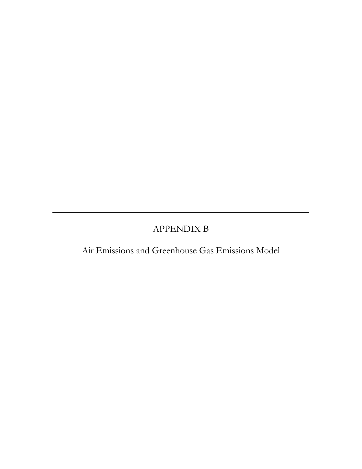# APPENDIX B

Air Emissions and Greenhouse Gas Emissions Model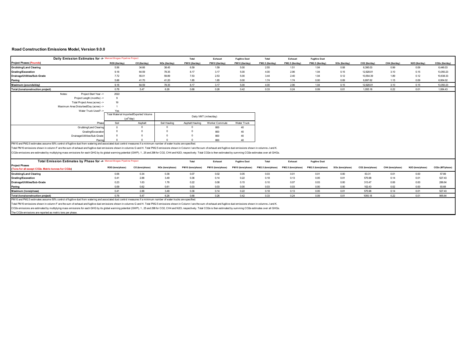# **Road Construction Emissions Model, Version 9.0.0**

| Daily Emission Estimates for > Merced Biogas Pipeline Project                                                                                                                                                                  |                  |                                         |                  | Total             | Exhaust               | <b>Fugitive Dust</b> | Total              | Exhaust            | <b>Fugitive Dust</b> |                  |                  |                  |                  |                 |
|--------------------------------------------------------------------------------------------------------------------------------------------------------------------------------------------------------------------------------|------------------|-----------------------------------------|------------------|-------------------|-----------------------|----------------------|--------------------|--------------------|----------------------|------------------|------------------|------------------|------------------|-----------------|
| <b>Project Phases (Pounds)</b>                                                                                                                                                                                                 | ROG (Ibs/day)    | CO (Ibs/day)                            | NOx (lbs/day)    | PM10 (lbs/day)    | PM10 (lbs/day)        | PM10 (lbs/day)       | PM2.5 (lbs/day)    | PM2.5 (lbs/day)    | PM2.5 (lbs/day)      | SOx (lbs/day)    | CO2 (lbs/day)    | CH4 (Ibs/day)    | N2O (Ibs/day)    | CO2e (lbs/day)  |
| <b>Grubbing/Land Clearing</b>                                                                                                                                                                                                  | 5.56             | 34.66                                   | 38.45            | 6.59              | 1.59                  | 5.00                 | 2.55               | 1.51               | 1.04                 | 0.08             | 6,395.03         | 0.99             | 0.09             | 6,446.03        |
| Grading/Excavation                                                                                                                                                                                                             | 9.18             | 64.59                                   | 78.35            | 8.17              | 3.17                  | 5.00                 | 4.00               | 2.96               | 1.04                 | 0.15             | 12.928.81        | 3.10             | 0.15             | 13,050.23       |
| Drainage/Utilities/Sub-Grade                                                                                                                                                                                                   | 7.72             | 55.01                                   | 59.89            | 7.53              | 2.53                  | 5.00                 | 3.44               | 2.40               | 1.04                 | 0.12             | 10,554.39        | 1.89             | 0.12             | 10,638.33       |
| Paving                                                                                                                                                                                                                         | 5.88             | 41.70                                   | 41.20            | 1.85              | 1.85                  | 0.00                 | 1.74               | 1.74               | 0.00                 | 0.09             | 6.897.62         | 1.15             | 0.09             | 6.954.02        |
| Maximum (pounds/day)                                                                                                                                                                                                           | 9.18             | 64.59                                   | 78.35            | 8.17              | 3.17                  | 5.00                 | 4.00               | 2.96               | 1.04                 | 0.15             | 12,928.81        | 3.10             | 0.15             | 13,050.23       |
| Total (tons/construction project)                                                                                                                                                                                              | 0.78             | 5.47                                    | 6.26             | 0.68              | 0.26                  | 0.42                 | 0.33               | 0.24               | 0.09                 | 0.01             | 1.055.18         | 0.22             | 0.01             | 1.064.43        |
| Project Start Year -><br>Notes:                                                                                                                                                                                                | 2022             |                                         |                  |                   |                       |                      |                    |                    |                      |                  |                  |                  |                  |                 |
| Project Length (months) ->                                                                                                                                                                                                     | 9                |                                         |                  |                   |                       |                      |                    |                    |                      |                  |                  |                  |                  |                 |
| Total Project Area (acres) ->                                                                                                                                                                                                  | 19               |                                         |                  |                   |                       |                      |                    |                    |                      |                  |                  |                  |                  |                 |
| Maximum Area Disturbed/Day (acres) ->                                                                                                                                                                                          |                  |                                         |                  |                   |                       |                      |                    |                    |                      |                  |                  |                  |                  |                 |
| Water Truck Used?->                                                                                                                                                                                                            | Yes              |                                         |                  |                   |                       |                      |                    |                    |                      |                  |                  |                  |                  |                 |
|                                                                                                                                                                                                                                |                  | Total Material Imported/Exported Volume |                  |                   | Daily VMT (miles/day) |                      |                    |                    |                      |                  |                  |                  |                  |                 |
|                                                                                                                                                                                                                                |                  | $(yd^3/day)$                            |                  |                   |                       |                      |                    |                    |                      |                  |                  |                  |                  |                 |
| Phase                                                                                                                                                                                                                          | Soil             | Asphalt                                 | Soil Hauling     | Asphalt Hauling   | Worker Commute        | Water Truck          |                    |                    |                      |                  |                  |                  |                  |                 |
| Grubbing/Land Clearing                                                                                                                                                                                                         | $\Omega$         |                                         | $^{\circ}$       |                   | 800                   | 40                   |                    |                    |                      |                  |                  |                  |                  |                 |
| Grading/Excavation                                                                                                                                                                                                             |                  |                                         | $\circ$          |                   | 800                   | 40                   |                    |                    |                      |                  |                  |                  |                  |                 |
| Drainage/Utilities/Sub-Grade                                                                                                                                                                                                   |                  |                                         | $\Omega$         | £                 | 800                   | 40                   |                    |                    |                      |                  |                  |                  |                  |                 |
| Pavino                                                                                                                                                                                                                         | $\Omega$         |                                         |                  |                   | 800                   | 40                   |                    |                    |                      |                  |                  |                  |                  |                 |
| PM10 and PM2.5 estimates assume 50% control of fugitive dust from watering and associated dust control measures if a minimum number of water trucks are specified.                                                             |                  |                                         |                  |                   |                       |                      |                    |                    |                      |                  |                  |                  |                  |                 |
| Total PM10 emissions shown in column F are the sum of exhaust and fugitive dust emissions shown in columns G and H. Total PM2.5 emissions shown in Column I are the sum of exhaust and fugitive dust emissions shown in column |                  |                                         |                  |                   |                       |                      |                    |                    |                      |                  |                  |                  |                  |                 |
| CO2e emissions are estimated by multiplying mass emissions for each GHG by its global warming potential (GWP), 1, 25 and 298 for CO2, CH4 and N2O, respectively. Total CO2e is then estimated by summing CO2e estimates over a |                  |                                         |                  |                   |                       |                      |                    |                    |                      |                  |                  |                  |                  |                 |
|                                                                                                                                                                                                                                |                  |                                         |                  |                   |                       |                      |                    |                    |                      |                  |                  |                  |                  |                 |
| Total Emission Estimates by Phase for > Merced Biogas Pipeline Project                                                                                                                                                         |                  |                                         |                  | Total             | Exhaust               | <b>Fugitive Dust</b> | Total              | Exhaust            | <b>Fugitive Dust</b> |                  |                  |                  |                  |                 |
| <b>Project Phases</b>                                                                                                                                                                                                          | ROG (tons/phase) | CO (tons/phase)                         | NOx (tons/phase) | PM10 (tons/phase) | PM10 (tons/phase)     | PM10 (tons/phase)    | PM2.5 (tons/phase) | PM2.5 (tons/phase) | PM2.5 (tons/phase)   | SOx (tons/phase) | CO2 (tons/phase) | CH4 (tons/phase) | N2O (tons/phase) | CO2e (MT/phase) |
| (Tons for all except CO2e. Metric tonnes for CO2e)                                                                                                                                                                             |                  |                                         |                  |                   |                       |                      |                    |                    |                      |                  |                  |                  |                  |                 |
| <b>Grubbing/Land Clearing</b>                                                                                                                                                                                                  | 0.06             | 0.34                                    | 0.38             | 0.07              | 0.02                  | 0.05                 | 0.03               | 0.01               | 0.01                 | 0.00             | 63.31            | 0.01             | 0.00             | 57.89           |
| <b>Grading/Excavation</b>                                                                                                                                                                                                      | 0.41             | 2.88                                    | 3.49             | 0.36              | 0.14                  | 0.22                 | 0.18               | 0.13               | 0.05                 | 0.01             | 575.98           | 0.14             | 0.01             | 527.43          |
| Drainage/Utilities/Sub-Grade                                                                                                                                                                                                   | 0.23             | 1.63                                    | 1.78             | 0.22              | 0.08                  | 0.15                 | 0.10               | 0.07               | 0.03                 | 0.00             | 313.47           | 0.06             | 0.00             | 286.64          |
| Paving                                                                                                                                                                                                                         | 0.09             | 0.62                                    | 0.61             | 0.03              | 0.03                  | 0.00                 | 0.03               | 0.03               | 0.00                 | 0.00             | 102.43           | 0.02             | 0.00             | 93.68           |
| Maximum (tons/phase)                                                                                                                                                                                                           | 0.41             | 2.88                                    | 3.49             | 0.36              | 0.14                  | 0.22                 | 0.18               | 0.13               | 0.05                 | 0.01             | 575.98           | 0.14             | 0.01             | 527.43          |
| Total (tons/construction project)                                                                                                                                                                                              | 0.78             | 5.47                                    | 6.26             | 0.68              | 0.26                  | 0.42                 | 0.33               | 0.24               | 0.09                 | 0.01             | 1055.18          | 0.22             | 0.01             | 965.64          |
| PM10 and PM2.5 estimates assume 50% control of fugitive dust from watering and associated dust control measures if a minimum number of water trucks are specified.                                                             |                  |                                         |                  |                   |                       |                      |                    |                    |                      |                  |                  |                  |                  |                 |

Total PM10 emissions shown in column F are the sum of exhaust and fugitive dust emissions shown in columns G and H. Total PM2.5 emissions shown in Column I are the sum of exhaust and fugitive dust emissions shown in column

CO2e emissions are estimated by multiplying mass emissions for each GHG by its global warming potential (GWP), 1, 25 and 298 for CO2, CH4 and N2O, respectively. Total CO2e is then estimated by summing CO2e estimates over a

The CO2e emissions are reported as metric tons per phase.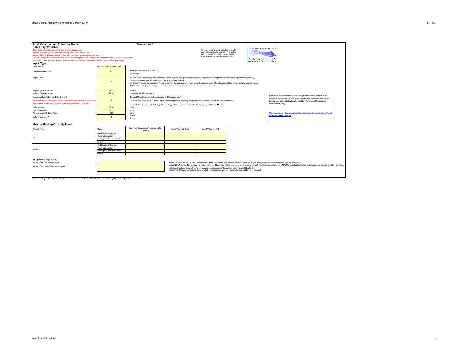| <b>Road Construction Emissions Model</b>                                                                                        |                                | Version 9.0.0                                                                                                                                                                                                                                                                   |                                      |                                                                                                                    |                            |                                                                                                                                                                                                                           |
|---------------------------------------------------------------------------------------------------------------------------------|--------------------------------|---------------------------------------------------------------------------------------------------------------------------------------------------------------------------------------------------------------------------------------------------------------------------------|--------------------------------------|--------------------------------------------------------------------------------------------------------------------|----------------------------|---------------------------------------------------------------------------------------------------------------------------------------------------------------------------------------------------------------------------|
| <b>Data Entry Worksheet</b>                                                                                                     |                                |                                                                                                                                                                                                                                                                                 |                                      |                                                                                                                    | SACRAMENTO METROPOLITAN    |                                                                                                                                                                                                                           |
| Note: Required data input sections have a yellow background.                                                                    |                                |                                                                                                                                                                                                                                                                                 |                                      | To begin a new project, click this button to                                                                       |                            |                                                                                                                                                                                                                           |
| Optional data input sections have a blue background. Only areas with a                                                          |                                |                                                                                                                                                                                                                                                                                 |                                      | clear data previously entered. This button                                                                         |                            |                                                                                                                                                                                                                           |
| yellow or blue background can be modified. Program defaults have a white background.                                            |                                |                                                                                                                                                                                                                                                                                 |                                      | will only work if you coted not to disable<br>macros when loading this spreadsheet.                                |                            |                                                                                                                                                                                                                           |
| The user is required to enter information in cells D10 through D24, E28 through G35, and D38 through D41 for all project types. |                                |                                                                                                                                                                                                                                                                                 |                                      |                                                                                                                    | AIR QUALITY                |                                                                                                                                                                                                                           |
| Please use "Clear Data Input & User Overrides" button first before changing the Project Type or begin a new project.            |                                |                                                                                                                                                                                                                                                                                 |                                      |                                                                                                                    | <b>MANAGEMENT DISTRICT</b> |                                                                                                                                                                                                                           |
| Input Type                                                                                                                      |                                |                                                                                                                                                                                                                                                                                 |                                      |                                                                                                                    |                            |                                                                                                                                                                                                                           |
| Project Name                                                                                                                    | Merced Biogas Pipeline Project |                                                                                                                                                                                                                                                                                 |                                      |                                                                                                                    |                            |                                                                                                                                                                                                                           |
|                                                                                                                                 |                                | Enter a Year between 2014 and 2040                                                                                                                                                                                                                                              |                                      |                                                                                                                    |                            |                                                                                                                                                                                                                           |
| <b>Construction Start Year</b>                                                                                                  | 2022                           | (inclusive)                                                                                                                                                                                                                                                                     |                                      |                                                                                                                    |                            |                                                                                                                                                                                                                           |
| Project Type                                                                                                                    |                                | 1) New Road Construction : Project to build a roadway from bare ground, which generally requires more site preparation than widening an existing roadway                                                                                                                        |                                      |                                                                                                                    |                            |                                                                                                                                                                                                                           |
|                                                                                                                                 | $\overline{2}$                 | 2) Road Widening: Project to add a new lane to an existing roadway                                                                                                                                                                                                              |                                      |                                                                                                                    |                            |                                                                                                                                                                                                                           |
|                                                                                                                                 |                                | 3) Bridge/Overpass Construction : Project to build an elevated roadway, which generally requires some different equipment than a new roadway, such as a crane<br>4) Other Linear Project Type: Non-roadway project such as a pipeline, transmission line, or levee construction |                                      |                                                                                                                    |                            |                                                                                                                                                                                                                           |
|                                                                                                                                 |                                |                                                                                                                                                                                                                                                                                 |                                      |                                                                                                                    |                            |                                                                                                                                                                                                                           |
| Project Construction Time                                                                                                       | 9.00                           | months                                                                                                                                                                                                                                                                          |                                      |                                                                                                                    |                            |                                                                                                                                                                                                                           |
| Working Days per Month                                                                                                          | 22.00                          | days (assume 22 if unknown)                                                                                                                                                                                                                                                     |                                      |                                                                                                                    |                            |                                                                                                                                                                                                                           |
| Predominant Soil/Site Type: Enter 1, 2, or 3                                                                                    |                                | 1) Sand Gravel : Use for quaternary deposits (Delta/West County)                                                                                                                                                                                                                |                                      |                                                                                                                    |                            | Please note that the soil type instructions provided in cells E18 to E20 are                                                                                                                                              |
|                                                                                                                                 | $\overline{2}$                 |                                                                                                                                                                                                                                                                                 |                                      |                                                                                                                    |                            | specific to Sacramento County. Maps available from the California Geologic                                                                                                                                                |
| (for project within "Sacramento County", follow soil type selection instructions in                                             |                                | 2) Weathered Rock-Earth : Use for Laguna formation (Jackson Highway area) or the lone formation (Scott Road, Rancho Murieta)                                                                                                                                                    |                                      |                                                                                                                    |                            | Survey (see weblink below) can be used to determine soil type outside                                                                                                                                                     |
| cells E18 to E20 otherwise see instructions provided in cells J18 to J22)                                                       |                                | 3) Blasted Rock : Use for Salt Springs Slate or Copper Hill Volcanics (Folsom South of Highway 50, Rancho Murieta)                                                                                                                                                              |                                      |                                                                                                                    |                            | Sacramento County.                                                                                                                                                                                                        |
| Project Length                                                                                                                  | 39.50                          | miles                                                                                                                                                                                                                                                                           |                                      |                                                                                                                    |                            |                                                                                                                                                                                                                           |
| <b>Total Project Area</b>                                                                                                       | 19.20                          | acres                                                                                                                                                                                                                                                                           |                                      |                                                                                                                    |                            |                                                                                                                                                                                                                           |
| Maximum Area Disturbed/Day                                                                                                      | 0.50                           | acres                                                                                                                                                                                                                                                                           |                                      |                                                                                                                    |                            | http://www.conservation.ca.gov/cgs/information/geologic_mapping/Pages/good                                                                                                                                                |
| Water Trucks Used?                                                                                                              | $\overline{1}$                 | 1. Yes                                                                                                                                                                                                                                                                          |                                      |                                                                                                                    |                            | nans asnyttrenionalseries                                                                                                                                                                                                 |
|                                                                                                                                 |                                | 2 No                                                                                                                                                                                                                                                                            |                                      |                                                                                                                    |                            |                                                                                                                                                                                                                           |
| <b>Material Hauling Quantity Input</b>                                                                                          |                                |                                                                                                                                                                                                                                                                                 |                                      |                                                                                                                    |                            |                                                                                                                                                                                                                           |
| Material Type                                                                                                                   | Phase                          | Haul Truck Capacity (yd <sup>3</sup> ) (assume 20 if                                                                                                                                                                                                                            | Import Volume (yd <sup>3</sup> /day) | Export Volume (yd <sup>3</sup> /day)                                                                               |                            |                                                                                                                                                                                                                           |
|                                                                                                                                 |                                | unknown)                                                                                                                                                                                                                                                                        |                                      |                                                                                                                    |                            |                                                                                                                                                                                                                           |
|                                                                                                                                 | Grubbing/Land Clearing         |                                                                                                                                                                                                                                                                                 |                                      |                                                                                                                    |                            |                                                                                                                                                                                                                           |
| Soil                                                                                                                            | Grading/Excavation             |                                                                                                                                                                                                                                                                                 |                                      |                                                                                                                    |                            |                                                                                                                                                                                                                           |
|                                                                                                                                 | Drainage/Utilities/Sub-Grade   |                                                                                                                                                                                                                                                                                 |                                      |                                                                                                                    |                            |                                                                                                                                                                                                                           |
|                                                                                                                                 | Paving                         |                                                                                                                                                                                                                                                                                 |                                      |                                                                                                                    |                            |                                                                                                                                                                                                                           |
|                                                                                                                                 | Grubbing/Land Clearing         |                                                                                                                                                                                                                                                                                 |                                      |                                                                                                                    |                            |                                                                                                                                                                                                                           |
| Asphalt                                                                                                                         | Grading/Excavation             |                                                                                                                                                                                                                                                                                 |                                      |                                                                                                                    |                            |                                                                                                                                                                                                                           |
|                                                                                                                                 | Drainage/Utilities/Sub-Grade   |                                                                                                                                                                                                                                                                                 |                                      |                                                                                                                    |                            |                                                                                                                                                                                                                           |
|                                                                                                                                 | Paving                         |                                                                                                                                                                                                                                                                                 |                                      |                                                                                                                    |                            |                                                                                                                                                                                                                           |
|                                                                                                                                 |                                |                                                                                                                                                                                                                                                                                 |                                      |                                                                                                                    |                            |                                                                                                                                                                                                                           |
| <b>Mitigation Options</b>                                                                                                       |                                |                                                                                                                                                                                                                                                                                 |                                      |                                                                                                                    |                            |                                                                                                                                                                                                                           |
| On-road Fleet Emissions Mitigation                                                                                              |                                |                                                                                                                                                                                                                                                                                 |                                      |                                                                                                                    |                            | Select "2010 and Newer On-road Vehicles Fleet" option when the on-road heavy-duty truck fleet for the project will be limited to vehicles of model year 2010 or newer                                                     |
| Off-road Equipment Emissions Mitigation                                                                                         |                                |                                                                                                                                                                                                                                                                                 |                                      |                                                                                                                    |                            | Select "20% NOx and 45% Exhaust PM reduction" option if the project will be required to use a lower emitting off-road construction fleet. The SMAQMD Construction Mitigation Calculator can be used to confirm compliance |
|                                                                                                                                 |                                |                                                                                                                                                                                                                                                                                 |                                      | with this mitigation measure (http://www.airquality.org/Businesses/CEQA-Land-Use-Planning/Mitigation).             |                            |                                                                                                                                                                                                                           |
|                                                                                                                                 |                                |                                                                                                                                                                                                                                                                                 |                                      | Select "Tier 4 Equipment" option if some or all off-road equipment used for the project meets CARB Tier 4 Standard |                            |                                                                                                                                                                                                                           |
|                                                                                                                                 |                                |                                                                                                                                                                                                                                                                                 |                                      |                                                                                                                    |                            |                                                                                                                                                                                                                           |
|                                                                                                                                 |                                |                                                                                                                                                                                                                                                                                 |                                      |                                                                                                                    |                            |                                                                                                                                                                                                                           |
| The remaining sections of this sheet contain areas that can be modified by the user, although those modifications are optional. |                                |                                                                                                                                                                                                                                                                                 |                                      |                                                                                                                    |                            |                                                                                                                                                                                                                           |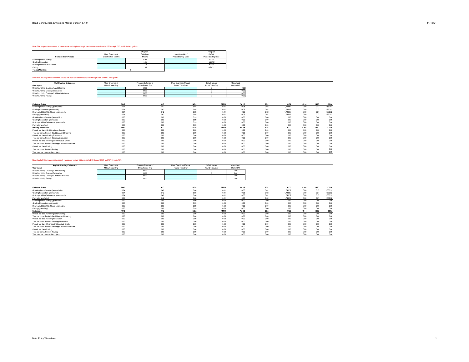# Note: The program's estimates of construction period phase length can be overridden in cells D50 through D53, and F50 through F53.

| <b>Construction Periods</b>  | User Override of<br>Construction Months | Program<br>Calculated<br>Months | User Override of<br>Phase Starting Date | Program<br>Default<br>Phase Starting Date |
|------------------------------|-----------------------------------------|---------------------------------|-----------------------------------------|-------------------------------------------|
| Grubbing/Land Clearing       |                                         | 0.90                            |                                         | 1/1/22                                    |
| Grading/Excavation           |                                         | 4.05                            |                                         | 1/29/22                                   |
| Drainage/Utilities/Sub-Grade |                                         | 2.70                            |                                         | 6/2/22                                    |
| Paving                       |                                         | 1.35                            |                                         | 8/24/22                                   |
| <b>Totals (Months)</b>       |                                         |                                 |                                         |                                           |

# Note: Soil Hauling emission default values can be overridden in cells D61 through D64, and F61 through F64.

| <b>Soil Hauling Emissions</b>                         | User Override of | Program Estimate of | User Override of Truck | Default Values      | Calculated           |      |                             |      |                    |                               |
|-------------------------------------------------------|------------------|---------------------|------------------------|---------------------|----------------------|------|-----------------------------|------|--------------------|-------------------------------|
| <b>User Input</b>                                     | Miles/Round Trip | Miles/Round Trip    | Round Trips/Day        | Round Trips/Day     | Daily VMT            |      |                             |      |                    |                               |
| Miles/round trip: Grubbing/Land Clearing              |                  | 30.00               |                        |                     | 0.00                 |      |                             |      |                    |                               |
| Miles/round trip: Grading/Excavation                  |                  | 30.00               |                        |                     | 0.00                 |      |                             |      |                    |                               |
| Miles/round trip: Drainage/Utilities/Sub-Grade        |                  | 30.00               |                        |                     | 0.00                 |      |                             |      |                    |                               |
| Miles/round trip: Paving                              |                  | 30.00               |                        |                     | 0.00                 |      |                             |      |                    |                               |
|                                                       |                  |                     |                        |                     |                      |      |                             |      |                    |                               |
|                                                       |                  |                     |                        |                     |                      |      |                             |      |                    |                               |
| <b>Emission Rates</b>                                 | ROG<br>0.04      | co<br>0.42          | <b>NOx</b><br>3.08     | <b>PM10</b><br>0.11 | <b>PM2.5</b><br>0.05 | SOx  | CO <sub>2</sub><br>1,748.57 | CH4  | <b>N2O</b><br>0.27 | CO <sub>2</sub> e<br>1,830.52 |
| Grubbing/Land Clearing (grams/mile)                   |                  | 0.42                | 3.08                   |                     | 0.05                 | 0.02 | 1.748.57                    | 0.00 |                    |                               |
| Grading/Excavation (grams/mile)                       | 0.04             |                     |                        | 0.11                |                      | 0.02 |                             | 0.00 | 0.27               | 1,830.52                      |
| Draining/Utilities/Sub-Grade (grams/mile)             | 0.04             | 0.42                | 3.08                   | 0.11                | 0.05                 | 0.02 | 1.748.57                    | 0.00 | 0.27               | 1.830.52                      |
| Paving (grams/mile)                                   | 0.04             | 0.42                | 3.08                   | 0.11                | 0.05                 | 0.02 | 1.748.57                    | 0.00 | 0.27               | 1.830.52                      |
| Grubbing/Land Clearing (grams/trip)                   | 0.00             | 0.00                | 3.99                   | 0.00                | 0.00                 | 0.00 | 0.00                        | 0.00 | 0.00               | 0.00                          |
| Grading/Excavation (grams/trip)                       | 0.00             | 0.00                | 3.99                   | 0.00                | 0.00                 | 0.00 | 0.00                        | 0.00 | 0.00               | 0.00                          |
| Draining/Utilities/Sub-Grade (grams/trip)             | 0.00             | 0.00                | 3.99                   | 0.00                | 0.00                 | 0.00 | 0.00                        | 0.00 | 0.00               | 0.00                          |
| Paving (grams/trip)                                   | 0.00             | 0.00                | 3.99                   | 0.00                | 0.00                 | 0.00 | 0.00                        | 0.00 | 0.00               | 0.00                          |
| <b>Hauling Emissions</b>                              | ROG              | co                  | <b>NOx</b>             | <b>PM10</b>         | <b>PM2.5</b>         | SOx  | CO <sub>2</sub>             | CH4  | N <sub>20</sub>    | CO <sub>2</sub> e             |
| Pounds per day - Grubbing/Land Clearing               | 0.00             | 0.00                | 0.00                   | 0.00                | 0.00                 | 0.00 | 0.00                        | 0.00 | 0.00               | 0.00                          |
| Tons per const. Period - Grubbing/Land Clearing       | 0.00             | 0.00                | 0.00                   | 0.00                | 0.00                 | 0.00 | 0.00                        | 0.00 | 0.00               | 0.00                          |
| Pounds per day - Grading/Excavation                   | 0.00             | 0.00                | 0.00                   | 0.00                | 0.00                 | 0.00 | 0.00                        | 0.00 | 0.00               | 0.00                          |
| Tons per const. Period - Grading/Excavation           | 0.00             | 0.00                | 0.00                   | 0.00                | 0.00                 | 0.00 | 0.00                        | 0.00 | 0.00               | 0.00                          |
| Pounds per day - Drainage/Utilities/Sub-Grade         | 0.00             | 0.00                | 0.00                   | 0.00                | 0.00                 | 0.00 | 0.00                        | 0.00 | 0.00               | 0.00                          |
| Tons per const. Period - Drainage/Utilities/Sub-Grade | 0.00             | 0.00                | 0.00                   | 0.00                | 0.00                 | 0.00 | 0.00                        | 0.00 | 0.00               | 0.00                          |
| Pounds per day - Paving                               | 0.00             | 0.00                | 0.00                   | 0.00                | 0.00                 | 0.00 | 0.00                        | 0.00 | 0.00               | 0.00                          |
| Tons per const. Period - Paving                       | 0.00             | 0.00                | 0.00                   | 0.00                | 0.00                 | 0.00 | 0.00                        | 0.00 | 0.00               | 0.00                          |
| Total tons per construction project                   | 0.00             | 0.00                | 0.00                   | 0.00                | 0.00                 | 0.00 | 0.00                        | 0.00 | 0.00               | 0.00                          |

#### Note: Asphalt Hauling emission default values can be overridden in cells D91 through D94, and F91 through F94.

| <b>Asphalt Hauling Emissions</b>                      | User Override of | Program Estimate of | User Override of Truck | Default Values  | Calculated   |      |                 |      |            |                  |
|-------------------------------------------------------|------------------|---------------------|------------------------|-----------------|--------------|------|-----------------|------|------------|------------------|
| <b>User Input</b>                                     | Miles/Round Trip | Miles/Round Trip    | Round Trips/Day        | Round Trips/Day | Daily VMT    |      |                 |      |            |                  |
| Miles/round trip: Grubbing/Land Clearing              |                  | 30.00               |                        |                 | 0.00         |      |                 |      |            |                  |
| Miles/round trip: Grading/Excavation                  |                  | 30.00               |                        | $\sim$          | 0.00         |      |                 |      |            |                  |
| Miles/round trip: Drainage/Utilities/Sub-Grade        |                  | 30.00               |                        | $\Omega$        | 0.00         |      |                 |      |            |                  |
| Miles/round trip: Paving                              |                  | 30.00               |                        |                 | 0.00         |      |                 |      |            |                  |
|                                                       |                  |                     |                        |                 |              |      |                 |      |            |                  |
|                                                       |                  |                     |                        |                 |              |      |                 |      |            |                  |
| <b>Emission Rates</b>                                 | ROG              | co                  | <b>NOx</b>             | <b>PM10</b>     | <b>PM2.5</b> | SOx  | CO <sub>2</sub> | CH4  | <b>N2O</b> | CO <sub>26</sub> |
| Grubbing/Land Clearing (grams/mile)                   | 0.04             | 0.42                | 3.08                   | 0.11            | 0.05         | 0.02 | 1.748.57        | 0.00 | 0.27       | 1.830.52         |
| Grading/Excavation (grams/mile)                       | 0.04             | 0.42                | 3.08                   | 0.11            | 0.05         | 0.02 | 1.748.57        | 0.00 | 0.27       | 1,830.52         |
| Draining/Utilities/Sub-Grade (grams/mile)             | 0.04             | 0.42                | 3.08                   | 0.11            | 0.05         | 0.02 | 1.748.57        | 0.00 | 0.27       | 1.830.52         |
| Paving (grams/mile)                                   | 0.04             | 0.42                | 3.08                   | 0.11            | 0.05         | 0.02 | 1.748.57        | 0.00 | 0.27       | 1.830.52         |
| Grubbing/Land Clearing (grams/trip)                   | 0.00             | 0.00                | 3.99                   | 0.00            | 0.00         | 0.00 | 0.00            | 0.00 | 0.00       | 0.00             |
| Grading/Excavation (grams/trip)                       | 0.00             | 0.00                | 3.99                   | 0.00            | 0.00         | 0.00 | 0.00            | 0.00 | 0.00       | 0.00             |
| Draining/Utilities/Sub-Grade (grams/trip)             | 0.00             | 0.00                | 3.99                   | 0.00            | 0.00         | 0.00 | 0.00            | 0.00 | 0.00       | 0.00             |
| Paving (grams/trip)                                   | 0.00             | 0.00                | 3.99                   | 0.00            | 0.00         | 0.00 | 0.00            | 0.00 | 0.00       | 0.00             |
| <b>Emissions</b>                                      | ROG              | co                  | <b>NOx</b>             | <b>PM10</b>     | <b>PM2.5</b> | SOx  | CO <sub>2</sub> | CH4  | N2O        | CO26             |
| Pounds per day - Grubbing/Land Clearing               | 0.00             | 0.00                | 0.00                   | 0.00            | 0.00         | 0.00 | 0.00            | 0.00 | 0.00       | 0.00             |
| Tons per const. Period - Grubbing/Land Clearing       | 0.00             | 0.00                | 0.00                   | 0.00            | 0.00         | 0.00 | 0.00            | 0.00 | 0.00       | 0.00             |
| Pounds per day - Grading/Excavation                   | 0.00             | 0.00                | 0.00                   | 0.00            | 0.00         | 0.00 | 0.00            | 0.00 | 0.00       | 0.00             |
| Tons per const. Period - Grading/Excavation           | 0.00             | 0.00                | 0.00                   | 0.00            | 0.00         | 0.00 | 0.00            | 0.00 | 0.00       | 0.00             |
| Pounds per day - Drainage/Utilities/Sub-Grade         | 0.00             | 0.00                | 0.00                   | 0.00            | 0.00         | 0.00 | 0.00            | 0.00 | 0.00       | 0.00             |
| Tons per const. Period - Drainage/Utilities/Sub-Grade | 0.00             | 0.00                | 0.00                   | 0.00            | 0.00         | 0.00 | 0.00            | 0.00 | 0.00       | 0.00             |
| Pounds per day - Paving                               | 0.00             | 0.00                | 0.00                   | 0.00            | 0.00         | 0.00 | 0.00            | 0.00 | 0.00       | 0.00             |
| Tons per const. Period - Paving                       | 0.00             | 0.00                | 0.00                   | 0.00            | 0.00         | 0.00 | 0.00            | 0.00 | 0.00       | 0.00             |
| Total tons per construction project                   | 0.00             | 0.00                | 0.00                   | 0.00            | 0.00         | 0.00 | 0.00            | 0.00 | 0.00       | 0.00             |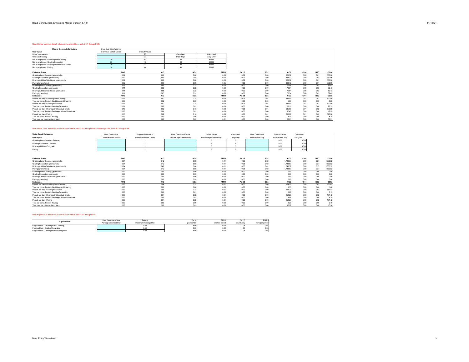#### Note: Worker commute default values can be overridden in cells D121 through D126.

| <b>Worker Commute Emissions</b>                       | User Override of Worker |                |             |             |              |      |                 |      |            |                   |
|-------------------------------------------------------|-------------------------|----------------|-------------|-------------|--------------|------|-----------------|------|------------|-------------------|
| <b>User Input</b>                                     | Commute Default Values  | Default Values |             |             |              |      |                 |      |            |                   |
| Miles/ one-way trip                                   |                         | 20             | Calculated  | Calculated  |              |      |                 |      |            |                   |
| One-way trips/day                                     |                         |                | Daily Trips | Daily VMT   |              |      |                 |      |            |                   |
| No. of employees: Grubbing/Land Clearing              | 20                      | 103            | 40          | 800.00      |              |      |                 |      |            |                   |
| No. of employees: Grading/Excavation                  | 20 <sub>1</sub>         | 118            | 40          | 800.00      |              |      |                 |      |            |                   |
| No. of employees: Drainage/Utilities/Sub-Grade        | 20                      | 112            | 40          | 800.00      |              |      |                 |      |            |                   |
| No. of employees: Paving                              | 20                      | 108            | 40          | 800.00      |              |      |                 |      |            |                   |
|                                                       |                         |                |             |             |              |      |                 |      |            |                   |
| <b>Emission Rates</b>                                 | <b>ROG</b>              | co             | <b>NOx</b>  | <b>PM10</b> | <b>PM2.5</b> | SOx  | CO <sub>2</sub> | CH4  | <b>N2O</b> | CO <sub>2</sub> e |
| Grubbing/Land Clearing (grams/mile)                   | 0.02                    | 1.00           | 0.08        | 0.05        | 0.02         | 0.00 | 328.72          | 0.00 | 0.01       | 330.96            |
| Grading/Excavation (grams/mile)                       | 0.02                    | 1.00           | 0.08        | 0.05        | 0.02         | 0.00 | 328.72          | 0.00 | 0.01       | 330.96            |
| Draining/Utilities/Sub-Grade (grams/mile)             | 0.02                    | 1.00           | 0.08        | 0.05        | 0.02         | 0.00 | 328.72          | 0.00 | 0.01       | 330.96            |
| Paving (grams/mile)                                   | 0.02                    | 1.00           | 0.08        | 0.05        | 0.02         | 0.00 | 328.72          | 0.00 | 0.01       | 330.96            |
| Grubbing/Land Clearing (grams/trip)                   | 1.11                    | 2.85           | 0.32        | 0.00        | 0.00         | 0.00 | 70.54           | 0.08 | 0.03       | 82.43             |
| Grading/Excavation (grams/trip)                       | 1.11                    | 2.85           | 0.32        | 0.00        | 0.00         | 0.00 | 70.54           | 0.08 | 0.03       | 82.43             |
| Draining/Utilities/Sub-Grade (grams/trip)             | 1.11                    | 2.85           | 0.32        | 0.00        | 0.00         | 0.00 | 70.54           | 0.08 | 0.03       | 82.43             |
| Paving (grams/trip)                                   | 1.11                    | 2.85           | 0.32        | 0.00        | 0.00         | 0.00 | 70.54           | 0.08 | 0.03       | 82.43             |
| <b>Emissions</b>                                      | <b>ROG</b>              | co             | <b>NOx</b>  | <b>PM10</b> | <b>PM2.5</b> | SOx  | CO <sub>2</sub> | CH4  | <b>N2O</b> | CO <sub>2</sub> e |
| Pounds per day - Grubbing/Land Clearing               | 0.13                    | 2.02           | 0.18        | 0.08        | 0.03         | 0.01 | 585.99          | 0.01 | 0.02       | 590.98            |
| Tons per const. Period - Grubbing/Land Clearing       | 0.00                    | 0.02           | 0.00        | 0.00        | 0.00         | 0.00 | 5.80            | 0.00 | 0.00       | 5.85              |
| Pounds per day - Grading/Excavation                   | 0.13                    | 2.02           | 0.18        | 0.08        | 0.03         | 0.01 | 585.99          | 0.01 | 0.02       | 590.98            |
| Tons per const. Period - Grading/Excavation           | 0.01                    | 0.09           | 0.01        | 0.00        | 0.00         | 0.00 | 26.11           | 0.00 | 0.00       | 26.33             |
| Pounds per day - Drainage/Utilities/Sub-Grade         | 0.13                    | 2.02           | 0.18        | 0.08        | 0.03         | 0.01 | 585.99          | 0.01 | 0.02       | 590.98            |
| Tons per const. Period - Drainage/Utilities/Sub-Grade | 0.00                    | 0.06           | 0.01        | 0.00        | 0.00         | 0.00 | 17.40           | 0.00 | 0.00       | 17.55             |
| Pounds per day - Paving                               | 0.13                    | 2.02           | 0.18        | 0.08        | 0.03         | 0.01 | 585.99          | 0.01 | 0.02       | 590.98            |
| Tons per const. Period - Paving                       | 0.00                    | 0.03           | 0.00        | 0.00        | 0.00         | 0.00 | 8.70            | 0.00 | 0.00       | 8.75              |
| Total tons per construction project                   | 0.01                    | 0.20           | 0.02        | 0.01        | 0.00         | 0.00 | 58.01           | 0.00 | 0.00       | 58.51             |

# Note: Water Truck default values can be overridden in cells D153 through D156, I153 through I156, and F153 through F156.

| <b>Water Truck Emissions</b>                          | User Override of       | Program Estimate of    | User Override of Truck  | Default Values          | Calculated   | User Override of | Default Values   | Calculated |            |                   |
|-------------------------------------------------------|------------------------|------------------------|-------------------------|-------------------------|--------------|------------------|------------------|------------|------------|-------------------|
| <b>User Input</b>                                     | Default # Water Trucks | Number of Water Trucks | Round Trips/Vehicle/Day | Round Trips/Vehicle/Day | Trips/day    | Miles/Round Trip | Miles/Round Trip | Daily VMT  |            |                   |
| Grubbing/Land Clearing - Exhaust                      |                        |                        |                         |                         |              |                  | 8.00             | 40.00      |            |                   |
| Grading/Excavation - Exhaust                          |                        |                        |                         |                         |              |                  | 8.00             | 40.00      |            |                   |
| Drainage/Utilities/Subgrade                           |                        |                        |                         |                         |              |                  | 8.00             | 40.00      |            |                   |
| Paving                                                |                        |                        |                         |                         |              |                  | 8.00             | 40.00      |            |                   |
|                                                       |                        |                        |                         |                         |              |                  |                  |            |            |                   |
| <b>Emission Rates</b>                                 | <b>ROG</b>             | co                     | <b>NOx</b>              | <b>PM10</b>             | <b>PM2.5</b> | SOx              | CO <sub>2</sub>  | CH4        | <b>N2O</b> | CO <sub>2</sub> e |
| Grubbing/Land Clearing (grams/mile)                   | 0.04                   | 0.42                   | 3.08                    | 0.11                    | 0.05         | 0.02             | 1.748.57         | 0.00       | 0.27       | 1.830.52          |
| Grading/Excavation (grams/mile)                       | 0.04                   | 0.42                   | 3.08                    | 0.11                    | 0.05         | 0.02             | 1.748.57         | 0.00       | 0.27       | 1.830.52          |
| Draining/Utilities/Sub-Grade (grams/mile)             | 0.04                   | 0.42                   | 3.08                    | 0.11                    | 0.05         | 0.02             | 1.748.57         | 0.00       | 0.27       | 1.830.52          |
| Paving (grams/mile)                                   | 0.04                   | 0.42                   | 3.08                    | 0.11                    | 0.05         | 0.02             | 1.748.57         | 0.00       | 0.27       | 1.830.52          |
| Grubbing/Land Clearing (grams/trip)                   | 0.00                   | 0.00                   | 3.99                    | 0.00                    | 0.00         | 0.00             | 0.00             | 0.00       | 0.00       | 0.00              |
| Grading/Excavation (grams/trip)                       | 0.00                   | 0.00                   | 3.99                    | 0.00                    | 0.00         | 0.00             | 0.00             | 0.00       | 0.00       | 0.00              |
| Draining/Utilities/Sub-Grade (grams/trip)             | 0.00                   | 0.00                   | 3.99                    | 0.00                    | 0.00         | 0.00             | 0.00             | 0.00       | 0.00       | 0.00              |
| Paving (grams/trip)                                   | 0.00                   | 0.00                   | 3.99                    | 0.00                    | 0.00         | 0.00             | 0.00             | 0.00       | 0.00       | 0.00              |
| <b>Emissions</b>                                      | <b>ROG</b>             | co                     | <b>NOx</b>              | <b>PM10</b>             | PM2.5        | SOx              | CO <sub>2</sub>  | CH4        | <b>N2O</b> | CO <sub>2</sub>   |
| Pounds per day - Grubbing/Land Clearing               | 0.00                   | 0.04                   | 0.32                    | 0.01                    | 0.00         | 0.00             | 154.20           | 0.00       | 0.02       | 161.42            |
| Tons per const. Period - Grubbing/Land Clearing       | 0.00                   | 0.00                   | 0.00                    | 0.00                    | 0.00         | 0.00             | 1.53             | 0.00       | 0.00       | 1 <sub>f</sub>    |
| Pounds per day - Grading/Excavation                   | 0.00                   | 0.04                   | 0.32                    | 0.01                    | 0.00         | 0.00             | 154.20           | 0.00       | 0.02       | 161.42            |
| Tons per const. Period - Grading/Excavation           | 0.00                   | 0.00                   | 0.01                    | 0.00                    | 0.00         | 0.00             | 6.87             | 0.00       | 0.00       | 7.19              |
| Pounds per day - Drainage/Utilities/Sub-Grade         | 0.00                   | 0.04                   | 0.32                    | 0.01                    | 0.00         | 0.00             | 154.20           | 0.00       | 0.02       | 161.42            |
| Tons per const. Period - Drainage/Utilities/Sub-Grade | 0.00                   | 0.00                   | 0.01                    | 0.00                    | 0.00         | 0.00             | 4.58             | 0.00       | 0.00       | 4.79              |
| Pounds per day - Paving                               | 0.00                   | 0.04                   | 0.32                    | 0.01                    | 0.00         | 0.00             | 154.20           | 0.00       | 0.02       | 161.42            |
| Tons per const. Period - Paving                       | 0.00                   | 0.00                   | 0.00                    | 0.00                    | 0.00         | 0.00             | 2.29             | 0.00       | 0.00       | 2.40              |
| Total tons per construction project                   | 0.00                   | 0.00                   | 0.03                    | 0.00                    | 0.00         | 0.00             | 15.27            | 0.00       | 0.00       | 15.98             |

#### Note: Fugitive dust default values can be overridden in cells D183 through D185.

| <b>Fugitive Dust</b>                        | User Override of Max  | Default             | <b>PM10</b> | <b>PM10</b>     | <b>PM2.5</b> | <b>PM2.5</b>    |
|---------------------------------------------|-----------------------|---------------------|-------------|-----------------|--------------|-----------------|
|                                             | Acreage Disturbed/Dav | Maximum Acreage/Day | pounds/day  | tons/per period | pounds/day   | tons/per period |
| Fugitive Dust - Grubbing Land Clearing      |                       | uou                 | 5.00        | 0.05            | 1.U9         | 0.01            |
| Fugitive Dust - Grading/Excavation          |                       | ,,,,,               | 5.00        | 0.22            |              | 0.05            |
| Fugitive Dust - Drainage/Utilities/Subgrade |                       | uou                 | 5.00        |                 |              | 0.03            |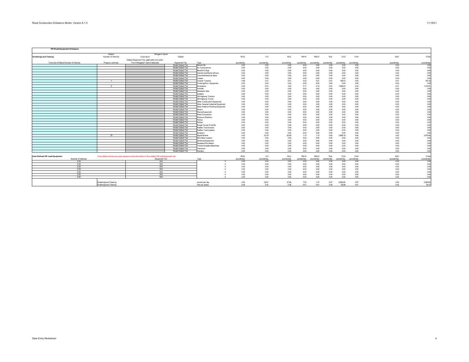| <b>Off-Road Equipment Emissions</b>    |                        |                                                                                                      |                                          |                                                 |              |               |                 |              |              |                |                  |              |              |                 |
|----------------------------------------|------------------------|------------------------------------------------------------------------------------------------------|------------------------------------------|-------------------------------------------------|--------------|---------------|-----------------|--------------|--------------|----------------|------------------|--------------|--------------|-----------------|
|                                        | Default                | Mitigation Option                                                                                    |                                          |                                                 |              |               |                 |              |              |                |                  |              |              |                 |
| <b>Grubbing/Land Clearing</b>          | Number of Vehicles     | Override of                                                                                          | Default                                  |                                                 | <b>ROG</b>   | $_{\rm CO}$   | NO <sub>x</sub> | PM10         | PM2.5        | SOx            | CO2              | CH4          | N2O          | CO <sub>2</sub> |
|                                        |                        | Default Equipment Tier (applicable only when                                                         |                                          |                                                 |              |               |                 |              |              |                |                  |              |              |                 |
| Override of Default Number of Vehicles | Program-estimate       | "Tier 4 Mitigation" Option Selected)                                                                 | Equipment Tier                           | Type                                            | pounds/day   | pounds/day    | pounds/day      | pounds/day   | pounds/day   | pounds/day     | pounds/day       | pounds/day   | pounds/day   | pounds/da       |
|                                        |                        |                                                                                                      | Model Default Tier                       | Aerial Lifts                                    | 0.00         | 0.00          | 0.00            | 0.00         | 0.00         | 0.00           | 0.00             | 0.00         | 0.00         | 0.00            |
|                                        |                        |                                                                                                      | Model Default Tier                       | Air Compressors                                 | 0.00         | 0.00          | 0.00            | 0.00         | 0.00         | 0.00           | 0.00             | 0.00         | 0.00         | 0.00            |
|                                        |                        |                                                                                                      | Model Default Tier                       | Bore/Drill Rigs                                 | 0.00         | 0.00          | 0.00            | 0.00         | 0.00         | 0.00           | 0.00             | 0.00         | 0.00         | 0.0             |
|                                        |                        |                                                                                                      | Model Default Tier                       | Cement and Mortar Mixers                        | 0.00         | 0.00          | 0.00            | 0.00         | 0.00         | 0.00           | 0.00             | 0.00         | 0.00         | 0.00            |
|                                        |                        |                                                                                                      | Model Default Tier                       | Concrete/Industrial Saws                        | 0.00         | 0.00          | 0.00            | 0.00         | 0.00         | 0.00           | 0.00             | 0.00         | 0.00         | 0.0             |
|                                        |                        |                                                                                                      | Model Default Tier                       | Cranes                                          | 0.00         | 0.00          | 0.00            | 0.00         | 0.00         | 0.00           | 0.00             | 0.00         | 0.00         | 0.00            |
|                                        | $\overline{1}$         |                                                                                                      | Model Default Tier                       | Crawler Tractors                                | 0.49         | 2.31          | 6.01            | 0.23         | 0.21         | 0.01           | 759.03           | 0.25         | 0.01         | 767.2           |
|                                        |                        |                                                                                                      | Model Default Tier                       | Crushing/Proc. Equipment                        | 0.00         | 0.00          | 0.00            | 0.00         | 0.00         | 0.00           | 0.00             | 0.00         | 0.00         | 0.0             |
|                                        | $\overline{2}$         |                                                                                                      | Model Default Tier                       | Excavators                                      | 0.40         | 6.51          | 3.55            | 0.17         | 0.16         | 0.01           | 1.000.03         | 0.32         | 0.01         | 1,010.8         |
|                                        |                        |                                                                                                      | Model Default Tier                       | Forklifts                                       | 0.00         | 0.00          | 0.00            | 0.00         | 0.00         | 0.00           | 0.00             | 0.00         | 0.00         | 0.0             |
|                                        |                        |                                                                                                      | Model Default Tier                       | Generator Sets                                  | 0.00         | 0.00          | 0.00            | 0.00         | 0.00         | 0.00           | 0.00             | 0.00         | 0.00         | 0.0             |
|                                        |                        |                                                                                                      | Model Default Tier                       | Graders                                         | 0.00         | 0.00          | 0.00            | 0.00         | 0.00         | 0.00           | 0.00             | 0.00         | 0.00         | 00              |
|                                        |                        |                                                                                                      | Model Default Tier                       | Off-Highway Tractors                            | 0.00         | 0.00          | 0.00            | 0.00         | 0.00         | 0.00           | 0.00             | 0.00         | 0.00         | 00              |
|                                        |                        |                                                                                                      | Model Default Tier                       | Off-Highway Trucks                              | 0.00         | 0.00          | 0.00            | 0.00         | 0.00         | 0.00           | 0.00             | 0.00         | 0.00         | 00              |
|                                        |                        |                                                                                                      | Model Default Tier                       | Other Construction Equipment                    | 0.00         | 0.00          | 0.00            | 0.00         | 0.00         | 0.00           | 0.00             | 0.00         | 0.00         | .no             |
|                                        |                        |                                                                                                      | Model Default Tier                       | Other General Industrial Equipment              | 0.00         | 0.00          | 0.00            | 0.00         | 0.00         | 0.00           | 0.00             | 0.00         | 0.00         | .no             |
|                                        |                        |                                                                                                      | Model Default Tier                       | Other Material Handling Equipment               | 0.00         | 0.00          | 0.00            | 0.00         | 0.00         | 0.00           | 0.00             | 0.00         | 0.00         |                 |
|                                        |                        |                                                                                                      | Model Default Tier                       | Pavers                                          | 0.00         | 0.00          | 0.00            | 0.00         | 0.00         | 0.00           | 0.00             | 0.00         | 0.00         | .no             |
|                                        |                        |                                                                                                      | Model Default Tier                       | Paving Equipment                                | 0.00         | 0.00          | 0.00            | 0.00         | 0.00         | 0.00           | 0.00             | 0.00         | 0.00         | .no             |
|                                        |                        |                                                                                                      | Model Default Tier                       | Plate Compactors                                | 0.00         | 0.00          | 0.00            | 0.00         | 0.00         | 0.00           | 0.00             | 0.00         | 0.00         | $\Omega$        |
|                                        |                        |                                                                                                      | Model Default Tier                       | Pressure Washers                                | 0.00         | 0.00          | 0.00            | 0.00         | 0.00         | 0.00           | 0.00             | 0.00         | 0.00         |                 |
|                                        |                        |                                                                                                      | Model Default Tier                       | Pumps                                           | 0.00         | 0.00          | 0.00            | 0.00         | 0.00         | 0.00           | 0.00             | 0.00         | 0.00         |                 |
|                                        |                        |                                                                                                      | Model Default Tier                       | Rollers                                         | 0.00         | 0.00          | 0.00            | 0.00         | 0.00         | 0.00           | 0.00             | 0.00         | 0.00         |                 |
|                                        |                        |                                                                                                      | Model Default Tier                       | Rough Terrain Forklifts                         | 0.00         | 0.00          | 0.00            | 0.00         | 0.00         | 0.00           | 0.00             | 0.00         | 0.00         | .no             |
|                                        |                        |                                                                                                      | Model Default Tier                       | Rubber Tired Dozers                             | 0.00         | 0.00          | 0.00            | 0.00         | 0.00         | 0.00           | 0.00             | 0.00         | 0.00         | 00              |
|                                        |                        |                                                                                                      | Model Default Tier                       | Rubber Tired Loaders                            | 0.00         | 0.00          | 0.00            | 0.00         | 0.00         | 0.00           | 0.00             | 0.00         | 0.00         | 0.0             |
|                                        |                        |                                                                                                      | Model Default Tier                       | Scrapers                                        | 0.00<br>4.53 | 0.00<br>23.78 | 0.00<br>28.39   | 0.00         | 0.00         | 0.00           | 0.00<br>3.895.78 | 0.00         | 0.00<br>0.03 | 00<br>3,915.6   |
|                                        | 79                     |                                                                                                      | Model Default Tier                       | Signal Boards<br>Skid Steer Loaders             | 0.00         |               | 0.00            | 1.10         | 1.10         | 0.05           |                  | 0.40         |              | 0.00            |
|                                        |                        |                                                                                                      | Model Default Tier<br>Model Default Tier |                                                 | 0.00         | 0.00<br>0.00  | 0.00            | 0.00<br>0.00 | 0.00<br>0.00 | 0.00<br>0.00   | 0.00<br>0.00     | 0.00<br>0.00 | 0.00<br>0.00 | 0.00            |
|                                        |                        |                                                                                                      | Model Default Tier                       | Surfacing Equipment                             |              |               |                 |              |              |                |                  |              |              |                 |
|                                        |                        |                                                                                                      | Model Default Tier                       | Sweepers/Scrubbers<br>Tractors/Loaders/Backhoes | 0.00<br>0.00 | 0.00<br>0.00  | 0.00<br>0.00    | 0.00<br>0.00 | 0.00<br>0.00 | 0.00<br>0.00   | 0.00<br>0.00     | 0.00<br>0.00 | 0.00<br>0.00 | 0.00<br>0.00    |
|                                        |                        |                                                                                                      | Model Default Tier                       |                                                 | 0.00         | 0.00          | 0.00            | 0.00         | 0.00         | 0.00           | 0.00             | 0.00         | 0.00         | 0.00            |
|                                        |                        |                                                                                                      | Model Default Tier                       | Trenchers<br>Welders                            | 0.00         | 0.00          | 0.00            | 0.00         | 0.00         | 0.00           | 0.00             | 0.00         | 0.00         | 00              |
|                                        |                        |                                                                                                      |                                          |                                                 |              |               |                 |              |              |                |                  |              |              |                 |
| <b>User-Defined Off-road Equipment</b> |                        | If non-default vehicles are used, please provide information in 'Non-default Off-road Equipment' tab |                                          |                                                 | <b>ROG</b>   | co            | NOx             | PM10         | PM2.5        | SOx            | CO2              | CH4          | N2O          | CO <sub>2</sub> |
| Number of Vehicles                     |                        | Equipment Tier                                                                                       |                                          | Type                                            | pounds/day   | pounds/day    | pounds/day      | pounds/day   | unds/dav     | pounds/day     | pounds/day       | pounds/day   | pounds/day   | pounds/da       |
| 0.00                                   |                        | N/A                                                                                                  |                                          |                                                 | 0.00         | 0.00          | 0.00            | 0.00         | 0.00         | 0.00           | 0.00             | 0.00         | 0.00         | 0.00            |
| 0.00                                   |                        | N/A                                                                                                  |                                          |                                                 | 0.00         | 0.00          | 0.00            | 0.00         | 0.00         | 0.00           | 0.00             | 0.00         | 0.00         | 0.00            |
| 0.00                                   |                        | N/A                                                                                                  |                                          |                                                 | 0.00         | 0.00          | 0.00            | 0.00         | 0.00         | 0.00           | 0.00             | 0.00         | 0.00         | 0.00            |
| 0.00                                   |                        | N/A                                                                                                  |                                          |                                                 | 0.00         | 0.00          | 0.00            | 0.00         | 0.00         | 0.00           | 0.00             | 0.00         | 0.00         | 0.00            |
| 000                                    |                        | N/A                                                                                                  |                                          |                                                 | 0.00         | 0.00          | 0.00            | 0.00         | 0.00         | 0.00           | 0.00             | 0.00         | 0.00         | 0.00            |
| 0.00                                   |                        | N/A                                                                                                  |                                          |                                                 | 0.00         | 0.00          | 0.00            | 0.00         | 0.00         | 0.00           | 0.00             | 0.00         | 0.00         | 0.00            |
| 0.00                                   |                        | N/A                                                                                                  |                                          |                                                 | 0.00         | 0.00          | 0.00            | 0.00         | 0.00         | 0.00           | 0.00             | 0.00         | 0.00         | 00              |
|                                        |                        |                                                                                                      |                                          |                                                 |              |               |                 |              |              |                |                  |              |              |                 |
|                                        | Grubbing/Land Clearing |                                                                                                      |                                          | pounds per day                                  | 5.43         | 32.61         | 37.96           | 1.50         | 1.47         | 0.07           | 5,654.84         | 0.97         | 0.05         | 5,693.6         |
|                                        | Grubbing/Land Clearing |                                                                                                      |                                          | tons per phase                                  | 0.05         | 0.32          | 0.38            | 0.01         | 0.01         | 0 <sub>m</sub> | 55.98            | 0.01         | 0.00         | 56.37           |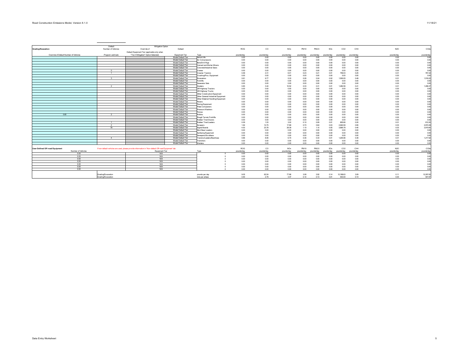|                                        | Default            | Mitigation Option                                                                                    |                                          |                                      |              |              |                 |              |              |              |              |              |              |                 |
|----------------------------------------|--------------------|------------------------------------------------------------------------------------------------------|------------------------------------------|--------------------------------------|--------------|--------------|-----------------|--------------|--------------|--------------|--------------|--------------|--------------|-----------------|
| Grading/Excavation                     | Number of Vehicles | Override of                                                                                          | Default                                  |                                      | ROG          | co           | NOx             | PM10         | PM2.5        | SOx          | CO2          | CH4          | N2O          | CO <sub>2</sub> |
|                                        |                    | Default Equipment Tier (applicable only when                                                         |                                          |                                      |              |              |                 |              |              |              |              |              |              |                 |
| Override of Default Number of Vehicles | Program-estimate   | "Tier 4 Mitigation" Option Selected)                                                                 | Equipment Tier                           | Type                                 | pounds/day   | pounds/day   | pounds/day      | pounds/day   | pounds/day   | pounds/day   | pounds/day   | pounds/day   | pounds/day   | pounds/da       |
|                                        |                    |                                                                                                      | Model Default Tier                       | Aerial Lifts                         | 0.00         | 0.00         | 0.00            | 0.00         | 0.00         | 0.00         | 0.00         | 0.00         | 0.00         | 0.00            |
|                                        |                    |                                                                                                      | Model Default Tier                       | Air Compressors                      | 0.00         | 0.00         | 0.00            | 0.00         | 0.00         | 0.00         | 0.00         | 0.00         | 0.00         | 0.00            |
|                                        |                    |                                                                                                      | Model Default Tier                       | Bore/Drill Rigs                      | 0.00         | 0.00         | 0.00            | 0.00         | 0.00         | 0.00         | 0.00         | 0.00         | 0.00         | 0.00            |
|                                        |                    |                                                                                                      | Model Default Tier                       | Cement and Mortar Mixers             | 0.00         | 0.00         | 0.00            | 0.00         | 0.00         | 0.00         | 0.00         | 0.00         | 0.00         | 0.00            |
|                                        |                    |                                                                                                      | Model Default Tier                       | Concrete/Industrial Saws             | 0.00         | 0.00         | 0.00            | 0.00         | 0.00         | 0.00         | 0.00         | 0.00         | 0.00         | 0.00            |
|                                        | $\circ$            |                                                                                                      | Model Default Tier                       | Cranes                               | 0.00         | 0.00         | 0.00            | 0.00         | 0.00         | 0.00         | 0.00         | 0.00         | 0.00         | 0.00            |
|                                        |                    |                                                                                                      | Model Default Tier                       | <b>Crawler Tractors</b>              | 0.49         | 2.31         | 6.01            | 0.23         | 0.21         | 0.01         | 759.03       | 0.25         | 0.01         | 767.22          |
|                                        |                    |                                                                                                      | Model Default Tier                       | Crushing/Proc. Equipment             | 0.00         | 0.00         | 0.00            | 0.00         | 0.00         | 0.00         | 0.00         | 0.00         | 0.00         | 0.00            |
|                                        | $\mathbf{R}$       |                                                                                                      | Model Default Tier                       | Excavators                           | 0.61         | 9.77         | 5.33            | 0.26         | 0.24         | 0.02         | 1,500.05     | 0.49         | 0.01         | 1,516.22        |
|                                        |                    |                                                                                                      | Model Default Tier                       | Forklifts                            | 0.00         | 0.00         | 0.00            | 0.00         | 0.00         | 0.00         | 0.00         | 0.00         | 0.00         | 0.00            |
|                                        |                    |                                                                                                      | Model Default Tier                       | Generator Sets                       | 0.00         | 0.00         | 0.00            | 0.00         | 0.00         | 0.00         | 0.00         | 0.00         | 0.00         | 0.00            |
|                                        |                    |                                                                                                      | Model Default Tier                       | Graders                              | 0.83         | 3.44         | 10.52           | 0.33         | 0.31         | 0.01         | 1,282.56     | 0.41         | 0.01         | 1,296.3         |
|                                        |                    |                                                                                                      | Model Default Tier                       | Off-Highway Tractors                 | 0.00         | 0.00         | 0.00            | 0.00         | 0.00         | 0.00         | 0.00         | 0.00         | 0.00         | 0.00            |
|                                        |                    |                                                                                                      | Model Default Tier                       | Off-Highway Trucks                   | 0.00         | 0.00         | 0.00            | 0.00         | 0.00         | 0.00         | 0.00         | 0.00         | 0.00         | 0.0             |
|                                        |                    |                                                                                                      | Model Default Tier                       | Other Construction Equipment         | 0.00         | 0.00         | 0.00            | 0.00         | 0.00         | 0.00         | 0.00         | 0.00         | 0.00         | 0.0             |
|                                        |                    |                                                                                                      | Model Default Tier                       | Other General Industrial Equipment   | 0.00         | 0.00         | 0.00            | 0.00         | 0.00         | 0.00         | 0.00         | 0.00         | 0.00         | 0.0             |
|                                        |                    |                                                                                                      | Model Default Tier                       | Other Material Handling Equipment    | 0.00         | 0.00         | 0.00            | 0.00         | 0.00         | 0.00         | 0.00         | 0.00         | 0.00         | 0.0<br>0.0      |
|                                        |                    |                                                                                                      | Model Default Tier<br>Model Default Tier | Pavers                               | 0.00         | 0.00         | 0.00            | 0.00         | 0.00         | 0.00         | 0.00         | 0.00         | 0.00         | 0.0             |
|                                        |                    |                                                                                                      | Model Default Tier                       | Paving Equipment<br>Plate Compactors | 0.00<br>0.00 | 0.00<br>0.00 | 0.00<br>0.00    | 0.00<br>0.00 | 0.00<br>0.00 | 0.00<br>0.00 | 0.00<br>0.00 | 0.00<br>0.00 | 0.00<br>0.00 | 0.0             |
|                                        |                    |                                                                                                      | Model Default Tier                       | Pressure Washers                     | 0.00         | 0.00         | 0.00            | 0.00         | 0.00         | 0.00         | 0.00         | 0.00         | 0.00         | 0.0             |
|                                        |                    |                                                                                                      | Model Default Tier                       | Pumps                                | 0.00         | 0.00         | 0.00            | 0.00         | 0.00         | 0.00         | 0.00         | 0.00         | 0.00         | 0.0             |
| 0.00                                   |                    |                                                                                                      | Model Default Tier                       | Rollers                              | 0.00         | 0.00         | 0.00            | 0.00         | 0.00         | 0.00         | 0.00         | 0.00         | 0.00         | 0.00            |
|                                        |                    |                                                                                                      | Model Default Tier                       | Rough Terrain Forklifts              | 0.00         | 0.00         | 0.00            | 0.00         | 0.00         | 0.00         | 0.00         | 0.00         | 0.00         | 0.00            |
|                                        |                    |                                                                                                      | Model Default Tier                       | Rubber Tired Dozers                  | 0.00         | 0.00         | 0.00            | 0.00         | 0.00         | 0.00         | 0.00         | 0.00         | 0.00         | 0.00            |
|                                        | $\overline{1}$     |                                                                                                      | Model Default Tier                       | Rubber Tired Loaders                 | 0.29         | 1.53         | 3.02            | 0.10         | 0.09         | 0.01         | 605.66       | 0.20         | 0.01         | 612.20          |
|                                        | $\overline{2}$     |                                                                                                      | Model Default Tier                       | Scrapers                             | 1.64         | 12.75        | 17.89           | 0.70         | 0.64         | 0.03         | 2,940.59     | 0.95         | 0.03         | 2,972.29        |
|                                        | 79                 |                                                                                                      | Model Default Tier                       | Signal Boards                        | 4.53         | 23.78        | 28.39           | 1.10         | 1.10         | 0.05         | 3,895.78     | 0.40         | 0.03         | 3,915.60        |
|                                        |                    |                                                                                                      | Model Default Tier                       | Skid Steer Loaders                   | 0.00         | 0.00         | 0.00            | 0.00         | 0.00         | 0.00         | 0.00         | 0.00         | 0.00         | 0.00            |
|                                        |                    |                                                                                                      | Model Default Tier                       | Surfacing Equipment                  | 0.00         | 0.00         | 0.00            | 0.00         | 0.00         | 0.00         | 0.00         | 0.00         | 0.00         | 0.00            |
|                                        |                    |                                                                                                      | Model Default Tier                       | Sweepers/Scrubbers                   | 0.00         | 0.00         | 0.00            | 0.00         | 0.00         | 0.00         | 0.00         | 0.00         | 0.00         | 0.00            |
|                                        | $\overline{A}$     |                                                                                                      | Model Default Tier                       | Tractors/Loaders/Backhoes            | 0.66         | 8.95         | 6.70            | 0.36         | 0.33         | 0.01         | 1.204.96     | 0.39         | 0.01         | 1,217.9         |
|                                        |                    |                                                                                                      | Model Default Tier                       | Trenchers                            | 0.00         | 0.00         | 0.00            | 0.00         | 0.00         | 0.00         | 0.00         | 0.00         | 0.00         | 0.00            |
|                                        |                    |                                                                                                      | Model Default Tier                       | Welders                              | 0.00         | 0.00         | 0.00            | 0.00         | 0.00         | 0.00         | 0.00         | 0.00         | 0.00         | 0.0             |
|                                        |                    |                                                                                                      |                                          |                                      |              |              |                 |              |              |              |              |              |              |                 |
| <b>User-Defined Off-road Equipment</b> |                    | If non-default vehicles are used, please provide information in 'Non-default Off-road Equipment' tab |                                          |                                      | ROG          | CO.          | NO <sub>x</sub> | PM10         | PM2.5        | SOx          | CO2          | CH4          | N2O          | CO <sub>2</sub> |
| Number of Vehicles                     |                    | Equipment Tier                                                                                       |                                          | Type                                 | pounds/day   | pounds/day   | pounds/day      | pounds/day   | unds/dav     | pounds/day   | pounds/day   | pounds/day   | pounds/day   | pounds/day      |
| 0.00                                   |                    | N/A                                                                                                  |                                          |                                      | 0.00         | 0.00         | 0.00            | 0.00         | 0.00         | 0.00         | 0.00         | 0.00         | 0.00         | 0.00            |
| 0.00                                   |                    | N/A                                                                                                  |                                          |                                      | 0.00         | 0.00         | 0.00            | 0.00         | 0.00         | 0.00         | 0.00         | 0.00         | 0.00         | 0.00            |
| 0.00                                   |                    | N/A                                                                                                  |                                          |                                      | 0.00         | 0.00         | 0.00            | 0.00         | 0.00         | 0.00         | 0.00         | 0.00         | 0.00         | 0.00            |
| 000                                    |                    | N/A                                                                                                  |                                          |                                      | 0.00         | 0.00         | 0.00            | 0.00         | 0.00         | 0.00         | 0.00         | 0.00         | 0.00         | 0.00            |
| 0.00                                   |                    | N/A                                                                                                  |                                          |                                      | 0.00         | 0.00         | 0.00            | 0.00         | 0.00         | 0.00         | 0.00         | 0.00         | 0.00         | 0.00            |
| 0.00                                   |                    | N/A                                                                                                  |                                          |                                      | 0.00         | 0.00         | 0.00            | 0.00         | 0.00         | 0.00         | 0.00         | 0.00         | 0.00         | 0.00<br>0.0     |
| 0.00                                   |                    | N/A                                                                                                  |                                          |                                      | 0.00         | 0.00         | 0.00            | 0.00         | 0.00         | 0.00         | 0.00         | 0.00         | 0.00         |                 |
|                                        | Grading/Excavation |                                                                                                      |                                          | pounds per day                       | 9.05         | 62.54        | 77.86           | 3.08         | 2.92         | 0.14         | 12, 188.63   | 3.09         | 0.11         | 12,297.8        |
|                                        | Grading/Excavation |                                                                                                      |                                          | tons ner obsse                       | 0.40         | 279          | 3.47            | 0.14         | 0.13         | 0.01         | 543.00       | 0.14         | 0.00         | 547.8           |
|                                        |                    |                                                                                                      |                                          |                                      |              |              |                 |              |              |              |              |              |              |                 |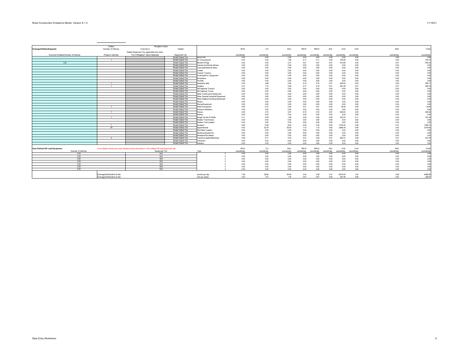|                                        | Default                      | Mitigation Option                                                                                    |                    |                                    |            |             |                        |            |            |            |            |            |            |                 |
|----------------------------------------|------------------------------|------------------------------------------------------------------------------------------------------|--------------------|------------------------------------|------------|-------------|------------------------|------------|------------|------------|------------|------------|------------|-----------------|
| Drainage/Utilities/Subgrade            | Number of Vehicles           | Override of                                                                                          | Default            |                                    | ROG        | co          | <b>NOx</b>             | PM10       | PM2.5      | SOx        | CO2        | CH4        | N2O        | CO <sub>2</sub> |
|                                        |                              | Default Equipment Tier (applicable only when                                                         |                    |                                    |            |             |                        |            |            |            |            |            |            |                 |
| Override of Default Number of Vehicles | Program-estimate             | "Tier 4 Mitigation" Option Selected)                                                                 | Equipment Tier     |                                    | pounds/day | pounds/day  | pounds/day             | pounds/day | pounds/day | pounds/day | pounds/day | pounds/day | pounds/day | pounds/day      |
|                                        |                              |                                                                                                      | Model Default Tier | Aerial Lifts                       | 0.00       | 0.00        | 0.00                   | 0.00       | 0.00       | 0.00       | 0.00       | 0.00       | 0.00       | 0.00            |
|                                        |                              |                                                                                                      | Model Default Tier | Air Compressors                    | 0.27       | 2.42        | 1.88                   | 0.11       | 0.11       | 0.00       | 375.26     | 0.02       | 0.00       | 376.7           |
| 1.00                                   |                              |                                                                                                      | Model Default Tier | Bore/Drill Rios                    | 0.22       | 2.04        | 2.27                   | 0.07       | 0.07       | 0.01       | 913.56     | 0.30       | 0.01       | 923.43          |
|                                        |                              |                                                                                                      | Model Default Tier | Cement and Mortar Mixers           | 0.00       | 0.00        | 0.00                   | 0.00       | 0.00       | 0.00       | 0.00       | 0.00       | 0.00       | 0.00            |
|                                        |                              |                                                                                                      | Model Default Tier | Concrete/Industrial Saws           | 0.00       | 0.00        | 0.00                   | 0.00       | 0.00       | 0.00       | 0.00       | 0.00       | 0.00       | 0.00            |
|                                        |                              |                                                                                                      | Model Default Tier | Cranes                             | 0.00       | 0.00        | 0.00                   | 0.00       | 0.00       | 0.00       | 0.00       | 0.00       | 0.00       | 0.00            |
|                                        |                              |                                                                                                      | Model Default Tier | Crawler Tractors                   | 0.00       | 0.00        | 0.00                   | 0.00       | 0.00       | 0.00       | 0.00       | 0.00       | 0.00       | 0.0             |
|                                        |                              |                                                                                                      | Model Default Tier | Crushing/Proc. Equipment           | 0.00       | 0.00        | 0.00                   | 0.00       | 0.00       | 0.00       | 0.00       | 0.00       | 0.00       | 0.00            |
|                                        |                              |                                                                                                      | Model Default Tier | Excavators                         | 0.00       | 0.00        | 0.00                   | 0.00       | 0.00       | 0.00       | 0.00       | 0.00       | 0.00       | 0.00            |
|                                        |                              |                                                                                                      | Model Default Tier | Forklifts                          | 0.00       | 0.00        | 0.00                   | 0.00       | 0.00       | 0.00       | 0.00       | 0.00       | 0.00       | 0.00            |
|                                        |                              |                                                                                                      | Model Default Tier | Generator Sets                     | 0.33       | 3.68        | 2.93                   | 0.15       | 0.15       | 0.01       | 623.04     | 0.03       | 0.00       | 625.1           |
|                                        | $\blacksquare$               |                                                                                                      | Model Default Tier | Graders                            | 0.41       | 1.72        | 5.26                   | 0.17       | 0.15       | 0.01       | 641.28     | 0.21       | 0.01       | 648.1           |
|                                        |                              |                                                                                                      | Model Default Tier | Off-Highway Tractors               | 0.00       | 0.00        | 0.00                   | 0.00       | 0.00       | 0.00       | 0.00       | 0.00       | 0.00       | 0.00            |
|                                        |                              |                                                                                                      | Model Default Tier | Off-Highway Trucks                 | 0.00       | 0.00        | 0.00                   | 0.00       | 0.00       | 0.00       | 0.00       | 0.00       | 0.00       | 0.0             |
|                                        |                              |                                                                                                      | Model Default Tier | Other Construction Equipment       | 0.00       | 0.00        | 0.00                   | 0.00       | 0.00       | 0.00       | 0.00       | 0.00       | 0.00       | 0.0             |
|                                        |                              |                                                                                                      | Model Default Tier | Other General Industrial Equipment | 0.00       | 0.00        | 0.00                   | 0.00       | 0.00       | 0.00       | 0.00       | 0.00       | 0.00       | 0.0             |
|                                        |                              |                                                                                                      | Model Default Tier | Other Material Handling Equipment  | 0.00       | 0.00        | 0.00                   | 0.00       | 0.00       | 0.00       | 0.00       | 0.00       | 0.00       | 0.0             |
|                                        |                              |                                                                                                      | Model Default Tier | Pavers                             | 0.00       | 0.00        | 0.00                   | 0.00       | 0.00       | 0.00       | 0.00       | 0.00       | 0.00       | 0.0             |
|                                        |                              |                                                                                                      | Model Default Tier | Paving Equipment                   | 0.00       | 0.00        | 0.00                   | 0.00       | 0.00       | 0.00       | 0.00       | 0.00       | 0.00       | 0.0             |
|                                        |                              |                                                                                                      | Model Default Tier | Plate Compactors                   | 0.04       | 0.21        | 0.25                   | 0.01       | 0.01       | 0.00       | 34.48      | 0.00       | 0.00       | 34.65           |
|                                        |                              |                                                                                                      | Model Default Tier | Pressure Washers                   | 0.00       | 0.00        | 0.00                   | 0.00       | 0.00       | 0.00       | 0.00       | 0.00       | 0.00       | 0.00            |
|                                        | $\blacksquare$               |                                                                                                      | Model Default Tier | Pumps                              | 0.35       | 3.73        | 2.97                   | 0.16       | 0.16       | 0.01       | 623.04     | 0.03       | 0.00       | 625.23          |
|                                        |                              |                                                                                                      | Model Default Tier | Rollers                            | 0.00       | 0.00        | 0.00                   | 0.00       | 0.00       | 0.00       | 0.00       | 0.00       | 0.00       | 0.00            |
|                                        | $-1$                         |                                                                                                      | Model Default Tier | Rough Terrain Forklifts            | 0.11       | 2.29        | 1.48                   | 0.05       | 0.05       | 0.00       | 333.75     | 0.11       | 0.00       | 337.39          |
|                                        |                              |                                                                                                      | Model Default Tier | Rubber Tired Dozers                | 0.00       | 0.00        | 0.00                   | 0.00       | 0.00       | 0.00       | 0.00       | 0.00       | 0.00       | 0.00            |
|                                        |                              |                                                                                                      | Model Default Tier | Rubber Tired Loaders               | 0.00       | 0.00        | 0.00                   | 0.00       | 0.00       | 0.00       | 0.00       | 0.00       | 0.00       | 0.00            |
|                                        | $\overline{1}$               |                                                                                                      | Model Default Tier | Scrapers                           | 0.82       | 6.38        | 8.94                   | 0.35       | 0.32       | 0.02       | 1,470.30   | 0.48       | 0.01       | 1,486.1         |
|                                        | 79                           |                                                                                                      | Model Default Tier | Signal Boards                      | 4.53       | 23.78       | 28.39                  | 1.10       | 1.10       | 0.05       | 3,895.78   | 0.40       | 0.03       | 3,915.60        |
|                                        |                              |                                                                                                      | Model Default Tier | Skid Steer Loaders                 | 0.00       | 0.00        | 0.00                   | 0.00       | 0.00       | 0.00       | 0.00       | 0.00       | 0.00       | 0.00            |
|                                        |                              |                                                                                                      | Model Default Tier | Surfacing Equipment                | 0.00       | 0.00        | 0.00                   | 0.00       | 0.00       | 0.00       | 0.00       | 0.00       | 0.00       | 0.00            |
|                                        |                              |                                                                                                      | Model Default Tier | Sweepers/Scrubbers                 | 0.00       | 0.00        | 0.00                   | 0.00       | 0.00       | 0.00       | 0.00       | 0.00       | 0.00       | 0.00            |
|                                        | $\mathbf{3}$                 |                                                                                                      | Model Default Tier | Fractors/Loaders/Backhoes          | 0.49       | 6.71        | 5.03                   | 0.27       | 0.25       | 0.01       | 903.72     | 0.29       | 0.01       | 913.4           |
|                                        |                              |                                                                                                      | Model Default Tier | Trenchers                          | 0.00       | 0.00        | 0.00                   | 0.00       | 0.00       | 0.00       | 0.00       | 0.00       | 0.00       | 0.00            |
|                                        |                              |                                                                                                      | Model Default Tier | Welders                            | 0.00       | 0.00        | 0.00                   | 0.00       | 0.00       | 0.00       | 0.00       | 0.00       | 0.00       | 0.00            |
|                                        |                              |                                                                                                      |                    |                                    |            |             |                        |            |            |            |            |            |            |                 |
| <b>User-Defined Off-road Equipment</b> |                              | If non-default vehicles are used, please provide information in 'Non-default Off-road Equipment' tab |                    |                                    | ROG        | $_{\rm CO}$ | <b>NO</b> <sub>x</sub> | PM10       | PM2.5      | SOx        | CO2        | CH4        | N2O        | CO <sub>2</sub> |
| Number of Vehicles                     |                              | Equipment Tier                                                                                       |                    | Tyne                               | pounds/day | pounds/day  | ng inds/day            | nnunds/dav | unds/dav   | nunds/dav  | nounde/day | nnunds/dav | nounds/day | pounds/day      |
| 0.00                                   |                              | N/A                                                                                                  |                    |                                    | 0.00       | 0.00        | 0.00                   | 0.00       | 0.00       | 0.00       | 0.00       | 0.00       | 0.00       | 0.00            |
| 0.00                                   |                              | N/A                                                                                                  |                    |                                    | 0.00       | 0.00        | 0.00                   | 0.00       | 0.00       | 0.00       | 0.00       | 0.00       | 0.00       | 0.00            |
| 0.00                                   |                              | N/A                                                                                                  |                    |                                    | 0.00       | 0.00        | 0.00                   | 0.00       | 0.00       | 0.00       | 0.00       | 0.00       | 0.00       | 0.00            |
| 000                                    |                              | N/A                                                                                                  |                    |                                    | 0.00       | 0.00        | 0.00                   | 0.00       | 0.00       | 0.00       | 0.00       | 0.00       | 0.00       | 0.00            |
| 0.00                                   |                              | N/A                                                                                                  |                    |                                    | 0.00       | 0.00        | 0.00                   | 0.00       | 0.00       | 0.00       | 0.00       | 0.00       | 0.00       | 0.00            |
| 0.00                                   |                              | N/A                                                                                                  |                    |                                    | 0.00       | 0.00        | 0.00                   | 0.00       | 0.00       | 0.00       | 0.00       | 0.00       | 0.00       | 0.00            |
| 0.00                                   |                              | N/A                                                                                                  |                    |                                    | 0.00       | 0.00        | 0.00                   | 0.00       | 0.00       | 0.00       | 0.00       | 0.00       | 0.00       | 0.0             |
|                                        |                              |                                                                                                      |                    |                                    |            |             |                        |            |            |            |            |            |            |                 |
|                                        | Drainage/Utilities/Sub-Grade |                                                                                                      |                    | pounds per day                     | 7.59       | 52.96       | 59.40                  | 2.44       | 2.36       | 0.12       | 9.814.20   | 1.87       | 0.08       | 9,885.9         |
|                                        | Drainane/Ufilities/Sub-Grade |                                                                                                      |                    | tons ner obsse                     | 0.23       | 1.57        | 176                    | 0.07       | 0.07       | 0.001      | 291.48     | 0.06       | 0.00       | 293.61          |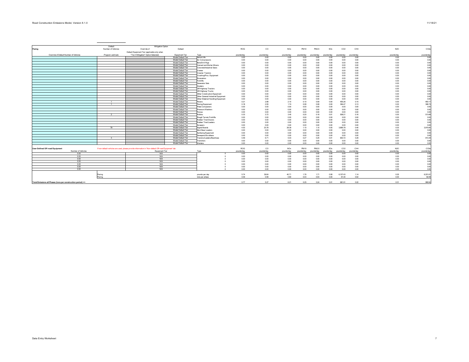|                                                              | Default            | Mitigation Option                                                                                    |                                          |                                           |              |                |              |                |              |              |              |              |              |                  |
|--------------------------------------------------------------|--------------------|------------------------------------------------------------------------------------------------------|------------------------------------------|-------------------------------------------|--------------|----------------|--------------|----------------|--------------|--------------|--------------|--------------|--------------|------------------|
| Paving                                                       | Number of Vehicles | Override of                                                                                          | Default                                  |                                           | ROG          | $_{\rm CO}$    | NOx          | PM10           | PM2.5        | SOx          | CO2          | CH4          | N2O          | CO <sub>26</sub> |
|                                                              |                    | Default Equipment Tier (applicable only when                                                         |                                          |                                           |              |                |              |                |              |              |              |              |              |                  |
| Override of Default Number of Vehicles                       | Program-estimate   | "Tier 4 Mitigation" Option Selected)                                                                 | Fournment Tier                           | Tyne                                      | nounds/day   | nounds/day     | nounds/day   | nnunds/day     | vehven m     | nounds/day   | nounds/day   | nnunds/day   | nounds/day   | pounds/day       |
|                                                              |                    |                                                                                                      | Model Default Tier                       | Aerial Lifts                              | 0.00         | 0.00           | 0.00         | 0.00           | 0.00         | 0.00         | 0.00         | 0.00         | 0.00         | 0.0              |
|                                                              |                    |                                                                                                      | Model Default Tier                       | Air Compressors                           | 0.00         | 0.00           | 0.00         | 0.00           | 0.00         | 0.00         | 0.00         | 0.00         | 0.00         | 0.00             |
|                                                              |                    |                                                                                                      | Model Default Tier                       | Bore/Drill Rios                           | 0.00         | 0.00           | 0.00         | 0.00           | 0.00         | 0.00         | 0.00         | 0.00         | 0.00         | 0.00             |
|                                                              |                    |                                                                                                      | Model Default Tier                       | Cement and Mortar Mixers                  | 0.00         | 0.00           | 0.00         | 0.00           | 0.00         | 0.00         | 0.00         | 0.00         | 0.00         | 0.00             |
|                                                              |                    |                                                                                                      | Model Default Tier                       | Concrete/Industrial Saws                  | 0.00         | 0.00           | 0.00         | 0.00           | 0.00         | 0.00         | 0.00         | 0.00         | 0.00         | 0.00             |
|                                                              |                    |                                                                                                      | Model Default Tier                       | Cranes                                    | 0.00         | 0.00           | 0.00         | 0.00           | 0.00         | 0.00         | 0.00         | 0.00         | 0.00         | 0.0              |
|                                                              |                    |                                                                                                      | Model Default Tier                       | Crawler Tractors                          | 0.00         | 0.00           | 0.00         | 0.00           | 0.00         | 0.00         | 0.00         | 0.00         | 0.00         | 0.00             |
|                                                              |                    |                                                                                                      | Model Default Tier                       | Crushing/Proc. Equipment                  | 0.00         | 0.00           | 0.00         | 0.00           | 0.00         | 0.00         | 0.00         | 0.00         | 0.00         | 0.0              |
|                                                              |                    |                                                                                                      | Model Default Tier                       | <b>Excavators</b>                         | 0.00         | 0.00           | 0.00         | 0.00           | 0.00         | 0.00         | 0.00         | 0.00         | 0.00         | 0.0              |
|                                                              |                    |                                                                                                      | Model Default Tier                       | Forklifts                                 | 0.00         | 0.00           | 0.00         | 0.00           | 0.00         | 0.00         | 0.00         | 0.00         | 0.00         | 0.0              |
|                                                              |                    |                                                                                                      | Model Default Tier                       | Generator Sets                            | 0.00         | 0.00           | 0.00         | 0.00           | 0.00         | 0.00         | 0.00         | 0.00         | 0.00         | 0.0              |
|                                                              |                    |                                                                                                      | Model Default Tier                       | Graders                                   | 0.00         | 0.00           | 0.00         | 0.00           | 0.00         | 0.00         | 0.00         | 0.00         | 0.00         | 0.0              |
|                                                              |                    |                                                                                                      | Model Default Tier                       | Off-Highway Tractors                      | 0.00         | 0.00           | 0.00         | 0.00           | 0.00         | 0.00         | 0.00         | 0.00         | 0.00         | 0.0              |
|                                                              |                    |                                                                                                      | Model Default Tier                       | Off-Highway Trucks                        | 0.00         | 0.00           | 0.00         | 0.00           | 0.00         | 0.00         | 0.00         | 0.00         | 0.00         | 0.0              |
|                                                              |                    |                                                                                                      | Model Default Tier                       | Other Construction Equipment              | 0.00         | 0.00           | 0.00         | 0.00           | 0.00         | 0.00         | 0.00         | 0.00         | 0.00         | 0.00             |
|                                                              |                    |                                                                                                      | Model Default Tier                       | Other General Industrial Equipment        | 0.00         | 0.00           | 0.00         | 0.00           | 0.00         | 0.00         | 0.00         | 0.00         | 0.00         | 0.0              |
|                                                              |                    |                                                                                                      | Model Default Tier                       | Other Material Handling Equipment         | 0.00         | 0.00           | 0.00         | 0.00           | 0.00         | 0.00         | 0.00         | 0.00         | 0.00         | 0.00             |
|                                                              |                    |                                                                                                      | Model Default Tier                       | Pavers                                    | 0.21         | 2.88           | 2.10         | 0.10           | 0.09         | 0.00         | 455.26       | 0.15         | 0.00         | 460.1            |
|                                                              |                    |                                                                                                      | Model Default Tier                       | Paving Equipment                          | 0.18         | 2.55           | 1.74         | 0.08           | 0.06         | 0.00         | 394.47       | 0.13         | 0.00         | 398.7            |
|                                                              |                    |                                                                                                      | Model Default Tier                       | Plate Compactors                          | 0.00         | 0.00           | 0.00         | 0.00           | 0.00         | 0.00         | 0.00         | 0.00         | 0.00         | 0.00             |
|                                                              |                    |                                                                                                      | Model Default Tier                       | Pressure Washers                          | 0.00         | 0.00           | 0.00         | 0.00           | 0.00         | 0.00         | 0.00         | 0.00         | 0.00         | 0.00             |
|                                                              |                    |                                                                                                      | Model Default Tier                       | Pumps                                     | 0.00         | 0.00           | 0.00         | 0.00           | 0.00         | 0.00         | 0.00         | 0.00         | 0.00         | 0.00             |
|                                                              |                    |                                                                                                      | Model Default Tier                       | Rollers                                   | 0.33         | 3.72           | 3.45         | 0.20           | 0.18         | 0.01         | 508.21       | 0.16         | 0.00         | 513.60           |
|                                                              |                    |                                                                                                      | Model Default Tier                       | Rough Terrain Forklifts                   | 0.00         | 0.00           | 0.00         | 0.00           | 0.00         | 0.00         | 0.00         | 0.00         | 0.00         | 0.00             |
|                                                              |                    |                                                                                                      | Model Default Tier                       | Rubber Tired Dozers                       | 0.00         | 0.00           | 0.00         | 0.00           | 0.00         | 0.00         | 0.00         | 0.00         | 0.00         | 0.00             |
|                                                              |                    |                                                                                                      | Model Default Tier<br>Model Default Tier | Rubber Tired Loaders<br>Scrapers          | 0.00<br>0.00 | 0.00<br>0.00   | 0.00<br>0.00 | 0.00<br>0.00   | 0.00<br>0.00 | 0.00<br>0.00 | 0.00<br>0.00 | 0.00<br>0.00 | 0.00<br>0.00 | 0.00<br>0.00     |
|                                                              | 79                 |                                                                                                      | Model Default Tier                       | Signal Boards                             | 4.53         | 23.78          | 28.39        | 1.10           | 1.10         | 0.05         | 3,895.78     | 0.40         | 0.03         | 3,915.60         |
|                                                              |                    |                                                                                                      | Model Default Tier                       | Skid Steer Loaders                        | 0.00         | 0.00           | 0.00         | 0.00           | 0.00         | 0.00         | 0.00         | 0.00         | 0.00         | 0.00             |
|                                                              |                    |                                                                                                      | Model Default Tier                       |                                           | 0.00         | 0.00           | 0.00         | 0.00           | 0.00         | 0.00         | 0.00         | 0.00         | 0.00         | 0.00             |
|                                                              |                    |                                                                                                      | Model Default Tier                       | Surfacing Equipment<br>Sweepers/Scrubbers | 0.00         | 0.00           | 0.00         | 0.00           | 0.00         | 0.00         | 0.00         | 0.00         | 0.00         | 0.00             |
|                                                              |                    |                                                                                                      | Model Default Tier                       | Tractors/Loaders/Backhoes                 | 0.49         | 6.71           | 5.03         | 0.27           | 0.25         | 0.01         | 903.72       | 0.29         | 0.01         | 913.4            |
|                                                              |                    |                                                                                                      | Model Default Tier                       | Trenchers                                 | 0.00         | 0.00           | 0.00         | 0.00           | 0.00         | 0.00         | 0.00         | 0.00         | 0.00         | 0.00             |
|                                                              |                    |                                                                                                      | Model Default Tier                       | Welders                                   | 0.00         | 0 <sub>m</sub> | 0.00         | 0 <sub>m</sub> | 0.00         | 0.00         | 0.00         | 0.00         | 0.00         | 0.00             |
|                                                              |                    |                                                                                                      |                                          |                                           |              |                |              |                |              |              |              |              |              |                  |
| <b>User-Defined Off-road Equipment</b>                       |                    | If non-default vehicles are used, please provide information in 'Non-default Off-road Equipment' tab |                                          |                                           | <b>ROG</b>   | $_{\rm CO}$    | <b>NOx</b>   | PM10           | PM2.5        | SOx          | CO2          | CH4          | N2O          | CO <sub>2</sub>  |
| Number of Vehicles                                           |                    | Equipment Tier                                                                                       |                                          | Type                                      | pounds/day   | pounds/day     | pounds/day   | pounds/day     | pounds/day   | pounds/day   | pounds/day   | pounds/day   | pounds/day   | pounds/day       |
| 0.00                                                         |                    | N/A                                                                                                  |                                          |                                           | 0.00         | 0.00           | 0.00         | 0.00           | 0.00         | 0.00         | 0.00         | 0.00         | 0.00         | 0.00             |
| 0.00                                                         |                    | N/A                                                                                                  |                                          |                                           | 0.00         | 0.00           | 0.00         | 0.00           | 0.00         | 0.00         | 0.00         | 0.00         | 0.00         | 0.00             |
| 000                                                          |                    | N/A                                                                                                  |                                          |                                           | 0.00         | 0.00           | 0.00         | 0.00           | 0.00         | 0.00         | 0.00         | 0.00         | 0.00         | 0.00             |
| 0.00                                                         |                    | N/A                                                                                                  |                                          |                                           | 0.00         | 0.00           | 0.00         | 0.00           | 0.00         | 0.00         | 0.00         | 0.00         | 0.00         | 0.00             |
| 0.00                                                         |                    | N/A                                                                                                  |                                          |                                           | 0.00         | 0.00           | 0.00         | 0.00           | 0.00         | 0.00         | 0.00         | 0.00         | 0.00         | 0.00             |
| 0.00                                                         |                    | N/A                                                                                                  |                                          |                                           | 0.00         | 0.00           | 0.00         | 0.00           | 0.00         | 0.00         | 0.00         | 0.00         | 0.00         | 0.00             |
| 0.00                                                         |                    | N/A                                                                                                  |                                          |                                           | 0.00         | 0.00           | 0.00         | 0.00           | 0.00         | 0.00         | 0.00         | 0.00         | 0.00         | 0.0              |
|                                                              |                    |                                                                                                      |                                          |                                           |              |                |              |                |              |              |              |              |              |                  |
|                                                              | Paving             |                                                                                                      |                                          | pounds per day                            | 5.74         | 39.64          | 40.71        | 1.76           | 1.71         | 0.08         | 6,157.43     | 1.14         | 0.05         | 6,201.61         |
|                                                              | Pavino             |                                                                                                      |                                          | tons per phase                            | 0.09         | 0.59           | 0.60         | 0.03           | 0.03         | 0.00         | 91.44        | 0.02         | 0.00         | 92.09            |
|                                                              |                    |                                                                                                      |                                          |                                           |              |                |              |                |              |              |              |              |              |                  |
| Total Emissions all Phases (tons per construction period) => |                    |                                                                                                      |                                          |                                           | 0.77         | 5.27           | 6.21         | 0.25           | 0.24         | 0.01         | 981.91       | 0.22         | 0.01         | 989.94           |